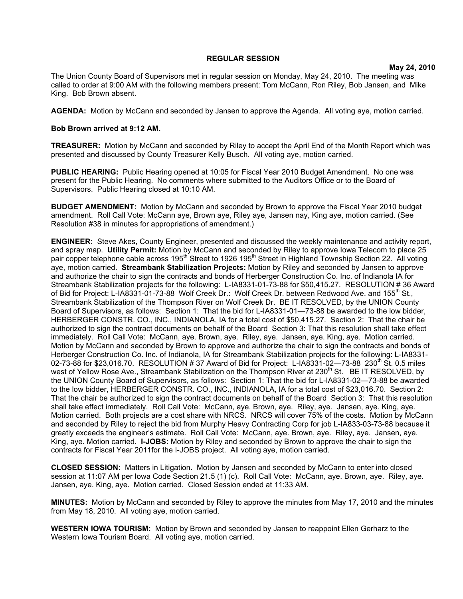## **REGULAR SESSION**

**May 24, 2010**

The Union County Board of Supervisors met in regular session on Monday, May 24, 2010. The meeting was called to order at 9:00 AM with the following members present: Tom McCann, Ron Riley, Bob Jansen, and Mike King. Bob Brown absent.

**AGENDA:** Motion by McCann and seconded by Jansen to approve the Agenda. All voting aye, motion carried.

## **Bob Brown arrived at 9:12 AM.**

**TREASURER:** Motion by McCann and seconded by Riley to accept the April End of the Month Report which was presented and discussed by County Treasurer Kelly Busch. All voting aye, motion carried.

**PUBLIC HEARING:** Public Hearing opened at 10:05 for Fiscal Year 2010 Budget Amendment. No one was present for the Public Hearing. No comments where submitted to the Auditors Office or to the Board of Supervisors. Public Hearing closed at 10:10 AM.

**BUDGET AMENDMENT:** Motion by McCann and seconded by Brown to approve the Fiscal Year 2010 budget amendment. Roll Call Vote: McCann aye, Brown aye, Riley aye, Jansen nay, King aye, motion carried. (See Resolution #38 in minutes for appropriations of amendment.)

**ENGINEER:** Steve Akes, County Engineer, presented and discussed the weekly maintenance and activity report, and spray map. **Utility Permit:** Motion by McCann and seconded by Riley to approve Iowa Telecom to place 25 pair copper telephone cable across 195<sup>th</sup> Street to 1926 195<sup>th</sup> Street in Highland Township Section 22. All voting aye, motion carried. **Streambank Stabilization Projects:** Motion by Riley and seconded by Jansen to approve and authorize the chair to sign the contracts and bonds of Herberger Construction Co. Inc. of Indianola IA for Streambank Stabilization projects for the following: L-IA8331-01-73-88 for \$50,415.27. RESOLUTION # 36 Award of Bid for Project: L-IA8331-01-73-88 Wolf Creek Dr.: Wolf Creek Dr. between Redwood Ave. and 155<sup>th</sup> St., Streambank Stabilization of the Thompson River on Wolf Creek Dr. BE IT RESOLVED, by the UNION County Board of Supervisors, as follows: Section 1: That the bid for L-IA8331-01—73-88 be awarded to the low bidder, HERBERGER CONSTR. CO., INC., INDIANOLA, IA for a total cost of \$50,415.27. Section 2: That the chair be authorized to sign the contract documents on behalf of the Board Section 3: That this resolution shall take effect immediately. Roll Call Vote: McCann, aye. Brown, aye. Riley, aye. Jansen, aye. King, aye. Motion carried. Motion by McCann and seconded by Brown to approve and authorize the chair to sign the contracts and bonds of Herberger Construction Co. Inc. of Indianola, IA for Streambank Stabilization projects for the following: L-IA8331- 02-73-88 for \$23,016.70. RESOLUTION # 37 Award of Bid for Project: L-IA8331-02—73-88 230<sup>th</sup> St. 0.5 miles west of Yellow Rose Ave., Streambank Stabilization on the Thompson River at 230<sup>th</sup> St. BE IT RESOLVED, by the UNION County Board of Supervisors, as follows: Section 1: That the bid for L-IA8331-02—73-88 be awarded to the low bidder, HERBERGER CONSTR. CO., INC., INDIANOLA, IA for a total cost of \$23,016.70. Section 2: That the chair be authorized to sign the contract documents on behalf of the Board Section 3: That this resolution shall take effect immediately. Roll Call Vote: McCann, aye. Brown, aye. Riley, aye. Jansen, aye. King, aye. Motion carried. Both projects are a cost share with NRCS. NRCS will cover 75% of the costs. Motion by McCann and seconded by Riley to reject the bid from Murphy Heavy Contracting Corp for job L-IA833-03-73-88 because it greatly exceeds the engineer's estimate. Roll Call Vote: McCann, aye. Brown, aye. Riley, aye. Jansen, aye. King, aye. Motion carried. **I-JOBS:** Motion by Riley and seconded by Brown to approve the chair to sign the contracts for Fiscal Year 2011for the I-JOBS project. All voting aye, motion carried.

**CLOSED SESSION:** Matters in Litigation. Motion by Jansen and seconded by McCann to enter into closed session at 11:07 AM per Iowa Code Section 21.5 (1) (c). Roll Call Vote: McCann, aye. Brown, aye. Riley, aye. Jansen, aye. King, aye. Motion carried. Closed Session ended at 11:33 AM.

**MINUTES:** Motion by McCann and seconded by Riley to approve the minutes from May 17, 2010 and the minutes from May 18, 2010. All voting aye, motion carried.

**WESTERN IOWA TOURISM:** Motion by Brown and seconded by Jansen to reappoint Ellen Gerharz to the Western Iowa Tourism Board. All voting aye, motion carried.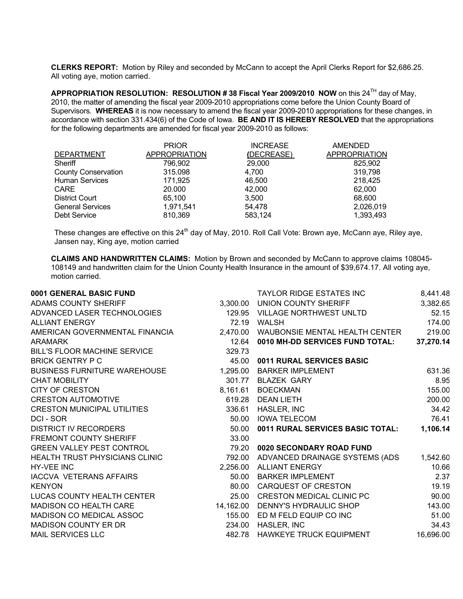**CLERKS REPORT:** Motion by Riley and seconded by McCann to accept the April Clerks Report for \$2,686.25. All voting aye, motion carried.

**APPROPRIATION RESOLUTION: RESOLUTION # 38 Fiscal Year 2009/2010 NOW** on this 24TH day of May, 2010, the matter of amending the fiscal year 2009-2010 appropriations come before the Union County Board of Supervisors. **WHEREAS** it is now necessary to amend the fiscal year 2009-2010 appropriations for these changes, in accordance with section 331.434(6) of the Code of Iowa. **BE AND IT IS HEREBY RESOLVED** that the appropriations for the following departments are amended for fiscal year 2009-2010 as follows:

|                            | <b>PRIOR</b>         | <b>INCREASE</b> | <b>AMENDED</b>       |
|----------------------------|----------------------|-----------------|----------------------|
| <b>DEPARTMENT</b>          | <b>APPROPRIATION</b> | (DECREASE)      | <b>APPROPRIATION</b> |
| Sheriff                    | 796,902              | 29,000          | 825.902              |
| <b>County Conservation</b> | 315,098              | 4.700           | 319,798              |
| <b>Human Services</b>      | 171.925              | 46,500          | 218.425              |
| <b>CARE</b>                | 20,000               | 42,000          | 62,000               |
| <b>District Court</b>      | 65.100               | 3,500           | 68,600               |
| <b>General Services</b>    | 1,971,541            | 54.478          | 2,026,019            |
| Debt Service               | 810.369              | 583.124         | 1,393,493            |

These changes are effective on this 24<sup>th</sup> day of May, 2010. Roll Call Vote: Brown aye, McCann aye, Riley aye, Jansen nay, King aye, motion carried

**CLAIMS AND HANDWRITTEN CLAIMS:** Motion by Brown and seconded by McCann to approve claims 108045- 108149 and handwritten claim for the Union County Health Insurance in the amount of \$39,674.17. All voting aye, motion carried.

| 0001 GENERAL BASIC FUND             |          | <b>TAYLOR RIDGE ESTATES INC</b>         | 8,441.48  |
|-------------------------------------|----------|-----------------------------------------|-----------|
| <b>ADAMS COUNTY SHERIFF</b>         |          | 3,300.00 UNION COUNTY SHERIFF           | 3,382.65  |
| ADVANCED LASER TECHNOLOGIES         | 129.95   | VILLAGE NORTHWEST UNLTD                 | 52.15     |
| <b>ALLIANT ENERGY</b>               | 72.19    | WALSH                                   | 174.00    |
| AMERICAN GOVERNMENTAL FINANCIA      | 2,470.00 | WAUBONSIE MENTAL HEALTH CENTER          | 219.00    |
| <b>ARAMARK</b>                      | 12.64    | 0010 MH-DD SERVICES FUND TOTAL:         | 37,270.14 |
| BILL'S FLOOR MACHINE SERVICE        | 329.73   |                                         |           |
| <b>BRICK GENTRY P C</b>             | 45.00    | 0011 RURAL SERVICES BASIC               |           |
| <b>BUSINESS FURNITURE WAREHOUSE</b> |          | 1,295.00 BARKER IMPLEMENT               | 631.36    |
| <b>CHAT MOBILITY</b>                |          | 301.77 BLAZEK GARY                      | 8.95      |
| <b>CITY OF CRESTON</b>              | 8,161.61 | <b>BOECKMAN</b>                         | 155.00    |
| <b>CRESTON AUTOMOTIVE</b>           |          | 619.28 DEAN LIETH                       | 200.00    |
| <b>CRESTON MUNICIPAL UTILITIES</b>  | 336.61   | HASLER, INC                             | 34.42     |
| DCI-SOR                             | 50.00    | <b>IOWA TELECOM</b>                     | 76.41     |
| <b>DISTRICT IV RECORDERS</b>        | 50.00    | <b>0011 RURAL SERVICES BASIC TOTAL:</b> | 1,106.14  |
| <b>FREMONT COUNTY SHERIFF</b>       | 33.00    |                                         |           |
| <b>GREEN VALLEY PEST CONTROL</b>    | 79.20    | 0020 SECONDARY ROAD FUND                |           |
| HEALTH TRUST PHYSICIANS CLINIC      | 792.00   | ADVANCED DRAINAGE SYSTEMS (ADS          | 1,542.60  |
| <b>HY-VEE INC</b>                   | 2,256.00 | ALLIANT ENERGY                          | 10.66     |
| <b>IACCVA VETERANS AFFAIRS</b>      | 50.00    | <b>BARKER IMPLEMENT</b>                 | 2.37      |
| <b>KENYON</b>                       | 80.00    | CARQUEST OF CRESTON                     | 19.19     |
| LUCAS COUNTY HEALTH CENTER          | 25.00    | <b>CRESTON MEDICAL CLINIC PC</b>        | 90.00     |
| MADISON CO HEALTH CARE              |          | 14,162.00 DENNY'S HYDRAULIC SHOP        | 143.00    |
| MADISON CO MEDICAL ASSOC            |          | 155.00 ED M FELD EQUIP CO INC           | 51.00     |
| <b>MADISON COUNTY ER DR</b>         |          | 234.00 HASLER, INC                      | 34.43     |
| <b>MAIL SERVICES LLC</b>            | 482.78   | HAWKEYE TRUCK EQUIPMENT                 | 16,696.00 |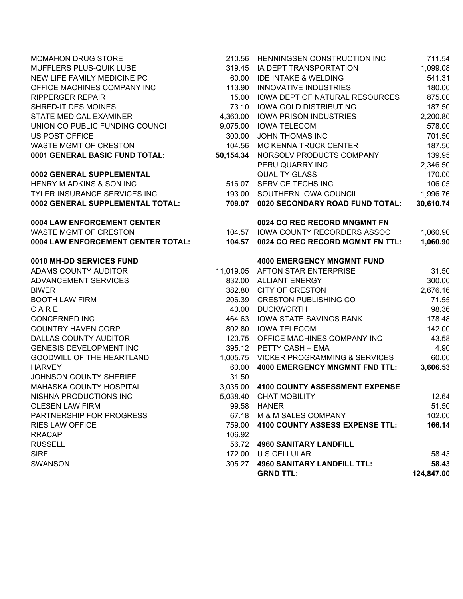| <b>MCMAHON DRUG STORE</b>          | 210.56    | HENNINGSEN CONSTRUCTION INC             | 711.54     |
|------------------------------------|-----------|-----------------------------------------|------------|
| MUFFLERS PLUS-QUIK LUBE            | 319.45    | IA DEPT TRANSPORTATION                  | 1,099.08   |
| NEW LIFE FAMILY MEDICINE PC        | 60.00     | <b>IDE INTAKE &amp; WELDING</b>         | 541.31     |
| OFFICE MACHINES COMPANY INC        | 113.90    | <b>INNOVATIVE INDUSTRIES</b>            | 180.00     |
| <b>RIPPERGER REPAIR</b>            | 15.00     | IOWA DEPT OF NATURAL RESOURCES          | 875.00     |
| SHRED-IT DES MOINES                |           | 73.10 IOWA GOLD DISTRIBUTING            | 187.50     |
| STATE MEDICAL EXAMINER             |           | 4,360.00 IOWA PRISON INDUSTRIES         | 2,200.80   |
| UNION CO PUBLIC FUNDING COUNCI     |           | 9,075.00 IOWA TELECOM                   | 578.00     |
| <b>US POST OFFICE</b>              | 300.00    | <b>JOHN THOMAS INC</b>                  | 701.50     |
| <b>WASTE MGMT OF CRESTON</b>       | 104.56    | MC KENNA TRUCK CENTER                   | 187.50     |
| 0001 GENERAL BASIC FUND TOTAL:     | 50,154.34 | NORSOLV PRODUCTS COMPANY                | 139.95     |
|                                    |           | PERU QUARRY INC                         | 2,346.50   |
| 0002 GENERAL SUPPLEMENTAL          |           | <b>QUALITY GLASS</b>                    | 170.00     |
| HENRY M ADKINS & SON INC           |           | 516.07 SERVICE TECHS INC                | 106.05     |
| TYLER INSURANCE SERVICES INC       |           | 193.00 SOUTHERN IOWA COUNCIL            | 1,996.76   |
| 0002 GENERAL SUPPLEMENTAL TOTAL:   |           | 709.07 0020 SECONDARY ROAD FUND TOTAL:  | 30,610.74  |
| 0004 LAW ENFORCEMENT CENTER        |           | 0024 CO REC RECORD MNGMNT FN            |            |
| <b>WASTE MGMT OF CRESTON</b>       |           | 104.57 IOWA COUNTY RECORDERS ASSOC      | 1,060.90   |
| 0004 LAW ENFORCEMENT CENTER TOTAL: |           | 104.57 0024 CO REC RECORD MGMNT FN TTL: | 1,060.90   |
| 0010 MH-DD SERVICES FUND           |           | <b>4000 EMERGENCY MNGMNT FUND</b>       |            |
| ADAMS COUNTY AUDITOR               |           | 11,019.05 AFTON STAR ENTERPRISE         | 31.50      |
| ADVANCEMENT SERVICES               |           | 832.00 ALLIANT ENERGY                   | 300.00     |
| <b>BIWER</b>                       |           | 382.80 CITY OF CRESTON                  | 2,676.16   |
| <b>BOOTH LAW FIRM</b>              |           | 206.39 CRESTON PUBLISHING CO            | 71.55      |
| CARE                               |           | 40.00 DUCKWORTH                         | 98.36      |
| CONCERNED INC                      | 464.63    | IOWA STATE SAVINGS BANK                 | 178.48     |
| <b>COUNTRY HAVEN CORP</b>          |           | 802.80 IOWA TELECOM                     | 142.00     |
| DALLAS COUNTY AUDITOR              |           | 120.75 OFFICE MACHINES COMPANY INC      | 43.58      |
| <b>GENESIS DEVELOPMENT INC</b>     |           | 395.12 PETTY CASH - EMA                 | 4.90       |
| GOODWILL OF THE HEARTLAND          |           | 1,005.75 VICKER PROGRAMMING & SERVICES  | 60.00      |
| <b>HARVEY</b>                      | 60.00     | <b>4000 EMERGENCY MNGMNT FND TTL:</b>   | 3,606.53   |
| JOHNSON COUNTY SHERIFF             | 31.50     |                                         |            |
| MAHASKA COUNTY HOSPITAL            |           | 3,035.00 4100 COUNTY ASSESSMENT EXPENSE |            |
| NISHNA PRODUCTIONS INC             |           | 5,038.40 CHAT MOBILITY                  | 12.64      |
| <b>OLESEN LAW FIRM</b>             | 99.58     | HANER                                   | 51.50      |
| PARTNERSHIP FOR PROGRESS           | 67.18     | M & M SALES COMPANY                     | 102.00     |
| <b>RIES LAW OFFICE</b>             | 759.00    | <b>4100 COUNTY ASSESS EXPENSE TTL:</b>  | 166.14     |
| <b>RRACAP</b>                      | 106.92    |                                         |            |
| <b>RUSSELL</b>                     |           | 56.72 4960 SANITARY LANDFILL            |            |
| <b>SIRF</b>                        | 172.00    | U S CELLULAR                            | 58.43      |
| <b>SWANSON</b>                     |           | 305.27 4960 SANITARY LANDFILL TTL:      | 58.43      |
|                                    |           | <b>GRND TTL:</b>                        | 124,847.00 |